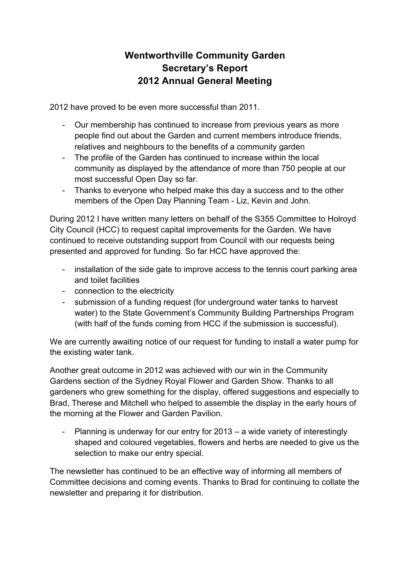## **Wentworthville Community Garden Secretary's Report 2012 Annual General Meeting**

2012 have proved to be even more successful than 2011.

- Our membership has continued to increase from previous years as more people find out about the Garden and current members introduce friends, relatives and neighbours to the benefits of a community garden
- The profile of the Garden has continued to increase within the local community as displayed by the attendance of more than 750 people at our most successful Open Day so far.
- Thanks to everyone who helped make this day a success and to the other members of the Open Day Planning Team - Liz, Kevin and John.

During 2012 I have written many letters on behalf of the S355 Committee to Holroyd City Council (HCC) to request capital improvements for the Garden. We have continued to receive outstanding support from Council with our requests being presented and approved for funding. So far HCC have approved the:

- installation of the side gate to improve access to the tennis court parking area and toilet facilities
- connection to the electricity
- submission of a funding request (for underground water tanks to harvest water) to the State Government's Community Building Partnerships Program (with half of the funds coming from HCC if the submission is successful).

We are currently awaiting notice of our request for funding to install a water pump for the existing water tank.

Another great outcome in 2012 was achieved with our win in the Community Gardens section of the Sydney Royal Flower and Garden Show. Thanks to all gardeners who grew something for the display, offered suggestions and especially to Brad, Therese and Mitchell who helped to assemble the display in the early hours of the morning at the Flower and Garden Pavilion.

Planning is underway for our entry for 2013 – a wide variety of interestingly shaped and coloured vegetables, flowers and herbs are needed to give us the selection to make our entry special.

The newsletter has continued to be an effective way of informing all members of Committee decisions and coming events. Thanks to Brad for continuing to collate the newsletter and preparing it for distribution.